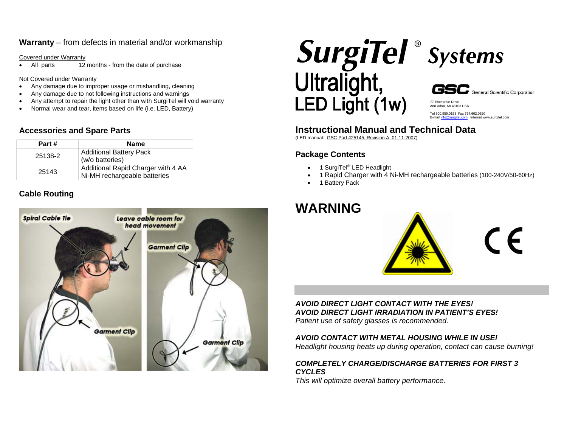#### **Warranty** – from defects in material and/or workmanship

Covered under Warranty

• All parts 12 months - from the date of purchase

Not Covered under Warranty

- Any damage due to improper usage or mishandling, cleaning
- Any damage due to not following instructions and warnings
- Any attempt to repair the light other than with SurgiTel will void warranty
- Normal wear and tear, items based on life (i.e. LED, Battery)

### **Accessories and Spare Parts**

| Part#   | <b>Name</b>                                                        |  |
|---------|--------------------------------------------------------------------|--|
| 25138-2 | <b>Additional Battery Pack</b><br>(w/o batteries)                  |  |
| 25143   | Additional Rapid Charger with 4 AA<br>Ni-MH rechargeable batteries |  |

# **Cable Routing**



![](_page_0_Picture_12.jpeg)

![](_page_0_Picture_14.jpeg)

Ann Arbor, MI 48103 USA Tel 800.959.0153 Fax 734.662.0520 E-mail info@surgitel.com Internet www.surgitel.com

77 Enterprise Drive

# **Instructional Manual and Technical Data**

(LED manual: GSC Part #25145, Revision A, 01-11-2007)

# **Package Contents**

- 1 SurgiTel® LED Headlight
- 1 Rapid Charger with 4 Ni-MH rechargeable batteries (100-240V/50-60Hz)
- 1 Battery Pack

# **WARNING**

![](_page_0_Picture_23.jpeg)

# *AVOID DIRECT LIGHT CONTACT WITH THE EYES! AVOID DIRECT LIGHT IRRADIATION IN PATIENT'S EYES!*

*Patient use of safety glasses is recommended.* 

#### *AVOID CONTACT WITH METAL HOUSING WHILE IN USE!*

*Headlight housing heats up during operation, contact can cause burning!* 

#### *COMPLETELY CHARGE/DISCHARGE BATTERIES FOR FIRST 3 CYCLES*

*This will optimize overall battery performance.*